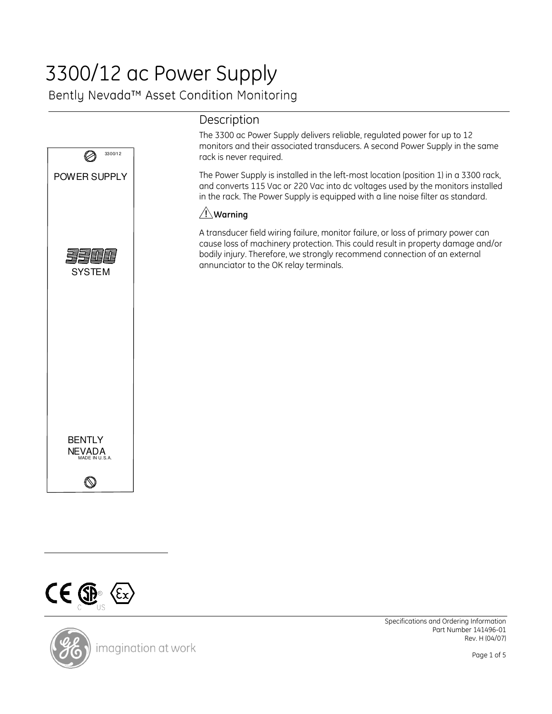# 3300/12 ac Power Supply

Bently Nevada™ Asset Condition Monitoring



# Description

The 3300 ac Power Supply delivers reliable, regulated power for up to 12 monitors and their associated transducers. A second Power Supply in the same rack is never required.

The Power Supply is installed in the left-most location (position 1) in a 3300 rack, and converts 115 Vac or 220 Vac into dc voltages used by the monitors installed in the rack. The Power Supply is equipped with a line noise filter as standard.

## $\sqrt{N}$ Warning

A transducer field wiring failure, monitor failure, or loss of primary power can cause loss of machinery protection. This could result in property damage and/or bodily injury. Therefore, we strongly recommend connection of an external annunciator to the OK relay terminals.



imagination at work

Specifications and Ordering Information Part Number 141496-01 Rev. H (04/07)

Page 1 of 5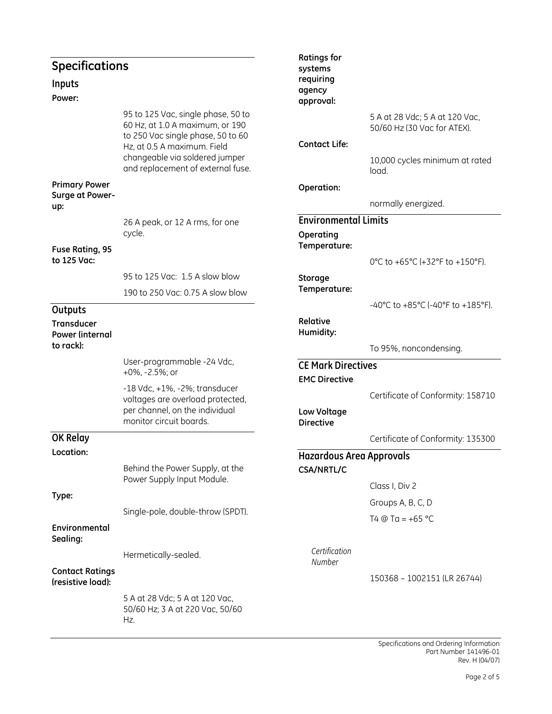| <b>Specifications</b><br>Inputs<br>Power:      |                                                                                                                                                                                                                  | <b>Ratings for</b><br>systems<br>requiring<br>agency<br>approval: |                                                                                                          |
|------------------------------------------------|------------------------------------------------------------------------------------------------------------------------------------------------------------------------------------------------------------------|-------------------------------------------------------------------|----------------------------------------------------------------------------------------------------------|
|                                                | 95 to 125 Vac, single phase, 50 to<br>60 Hz, at 1.0 A maximum, or 190<br>to 250 Vac single phase, 50 to 60<br>Hz, at 0.5 A maximum. Field<br>changeable via soldered jumper<br>and replacement of external fuse. | <b>Contact Life:</b>                                              | 5 A at 28 Vdc; 5 A at 120 Vac,<br>50/60 Hz (30 Vac for ATEX).<br>10,000 cycles minimum at rated<br>load. |
| <b>Primary Power</b><br>Surge at Power-<br>up: |                                                                                                                                                                                                                  | Operation:                                                        | normally energized.                                                                                      |
|                                                | 26 A peak, or 12 A rms, for one<br>cycle.                                                                                                                                                                        | <b>Environmental Limits</b><br>Operating<br>Temperature:          |                                                                                                          |
| Fuse Rating, 95<br>to 125 Vac:                 |                                                                                                                                                                                                                  |                                                                   | 0°C to +65°C (+32°F to +150°F).                                                                          |
|                                                | 95 to 125 Vac: 1.5 A slow blow<br>190 to 250 Vac: 0.75 A slow blow                                                                                                                                               | Storage<br>Temperature:                                           |                                                                                                          |
| Outputs                                        |                                                                                                                                                                                                                  |                                                                   | -40°C to +85°C (-40°F to +185°F).                                                                        |
| Transducer<br>Power (internal                  |                                                                                                                                                                                                                  | Relative<br>Humidity:                                             |                                                                                                          |
| to rack):                                      |                                                                                                                                                                                                                  |                                                                   | To 95%, noncondensing.                                                                                   |
|                                                | User-programmable -24 Vdc,<br>+0%, -2.5%; or                                                                                                                                                                     | <b>CE Mark Directives</b><br><b>EMC Directive</b>                 |                                                                                                          |
|                                                | -18 Vdc, +1%, -2%; transducer<br>voltages are overload protected,<br>per channel, on the individual<br>monitor circuit boards.                                                                                   | Low Voltage<br><b>Directive</b>                                   | Certificate of Conformity: 158710                                                                        |
| OK Relay                                       |                                                                                                                                                                                                                  |                                                                   | Certificate of Conformity: 135300                                                                        |
| Location:                                      |                                                                                                                                                                                                                  | <b>Hazardous Area Approvals</b>                                   |                                                                                                          |
|                                                | Behind the Power Supply, at the<br>Power Supply Input Module.                                                                                                                                                    | <b>CSA/NRTL/C</b>                                                 |                                                                                                          |
| Type:                                          |                                                                                                                                                                                                                  |                                                                   | Class I, Div 2                                                                                           |
|                                                | Single-pole, double-throw (SPDT).                                                                                                                                                                                |                                                                   | Groups A, B, C, D                                                                                        |
| Environmental<br>Sealing:                      |                                                                                                                                                                                                                  |                                                                   | T4 @ Ta = $+65$ °C                                                                                       |
|                                                | Hermetically-sealed.                                                                                                                                                                                             | Certification<br>Number                                           |                                                                                                          |
| <b>Contact Ratings</b><br>(resistive load):    |                                                                                                                                                                                                                  |                                                                   | 150368 - 1002151 (LR 26744)                                                                              |
|                                                | 5 A at 28 Vdc; 5 A at 120 Vac,<br>50/60 Hz; 3 A at 220 Vac, 50/60<br>Hz.                                                                                                                                         |                                                                   |                                                                                                          |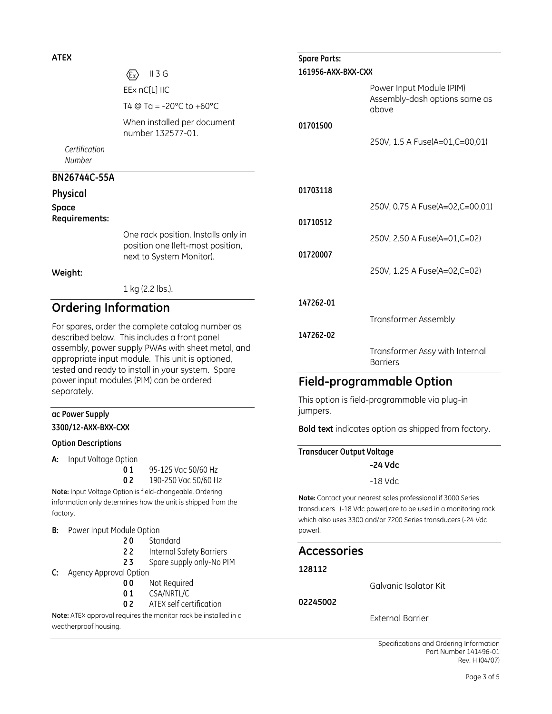#### ATEX

 $\langle \overline{\epsilon_x} \rangle$  II 3 G EEx nC[L] IIC T4  $@$  Ta = -20 $°C$  to +60 $°C$ When installed per document number 132577-01.

### BN26744C-55A

Certification Number

# Physical

Space Requirements:

> One rack position. Installs only in position one (left-most position, next to System Monitor).

#### Weight:

1 kg (2.2 lbs.).

## Ordering Information

For spares, order the complete catalog number as described below. This includes a front panel assembly, power supply PWAs with sheet metal, and appropriate input module. This unit is optioned, tested and ready to install in your system. Spare power input modules (PIM) can be ordered separately.

#### ac Power Supply 3300/12-AXX-BXX-CXX

#### Option Descriptions

A: Input Voltage Option

0 1 95-125 Vac 50/60 Hz

0 2 190-250 Vac 50/60 Hz Note: Input Voltage Option is field-changeable. Ordering

information only determines how the unit is shipped from the factory.

#### B: Power Input Module Option

- 20 Standard
- 22 Internal Safety Barriers
- 23 Spare supply only-No PIM
- C: Agency Approval Option
	- 00 Not Required
	- 01 CSA/NRTL/C
	- 0 2 ATEX self certification

Note: ATEX approval requires the monitor rack be installed in a weatherproof housing.

| <b>Spare Parts:</b> |                                                                    |  |  |
|---------------------|--------------------------------------------------------------------|--|--|
| 161956-AXX-BXX-CXX  |                                                                    |  |  |
|                     | Power Input Module (PIM)<br>Assembly-dash options same as<br>above |  |  |
| 01701500            |                                                                    |  |  |
|                     | 250V, 1.5 A Fuse(A=01,C=00,01)                                     |  |  |
|                     |                                                                    |  |  |
| 01703118            |                                                                    |  |  |
|                     | 250V, 0.75 A Fuse(A=02,C=00,01)                                    |  |  |
| 01710512            |                                                                    |  |  |
|                     | 250V, 2.50 A Fuse(A=01,C=02)                                       |  |  |
| 01720007            |                                                                    |  |  |
|                     | 250V, 1.25 A Fuse(A=02,C=02)                                       |  |  |
| 147262-01           |                                                                    |  |  |
|                     | Transformer Assembly                                               |  |  |
| 147262-02           |                                                                    |  |  |
|                     | Transformer Assy with Internal<br><b>Barriers</b>                  |  |  |

## Field-programmable Option

This option is field-programmable via plug-in jumpers.

Bold text indicates option as shipped from factory.

Transducer Output Voltage -24 Vdc

-18 Vdc

Note: Contact your nearest sales professional if 3000 Series transducers (-18 Vdc power) are to be used in a monitoring rack which also uses 3300 and/or 7200 Series transducers (-24 Vdc power).

## Accessories

#### 128112

Galvanic Isolator Kit

02245002

External Barrier

Specifications and Ordering Information Part Number 141496-01 Rev. H (04/07)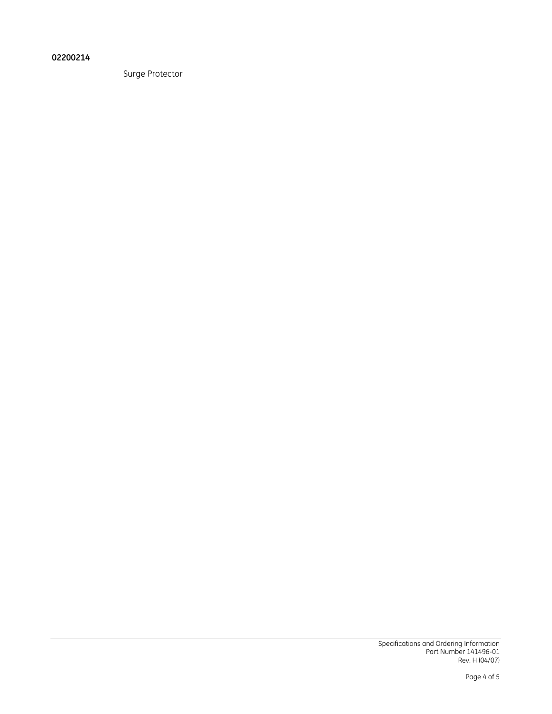#### 02200214

Surge Protector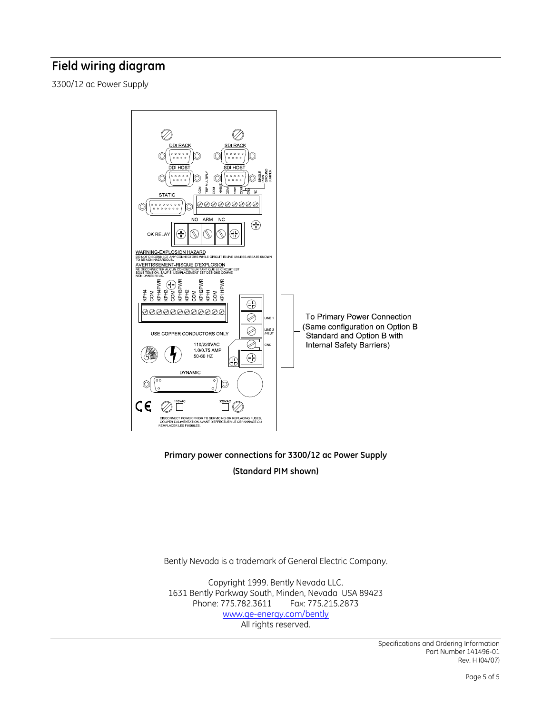## Field wiring diagram

3300/12 ac Power Supply



Primary power connections for 3300/12 ac Power Supply (Standard PIM shown)

Bently Nevada is a trademark of General Electric Company.

Copyright 1999. Bently Nevada LLC. 1631 Bently Parkway South, Minden, Nevada USA 89423 Phone: 775.782.3611 www.ge-energy.com/bently All rights reserved.

> Specifications and Ordering Information Part Number 141496-01 Rev. H (04/07)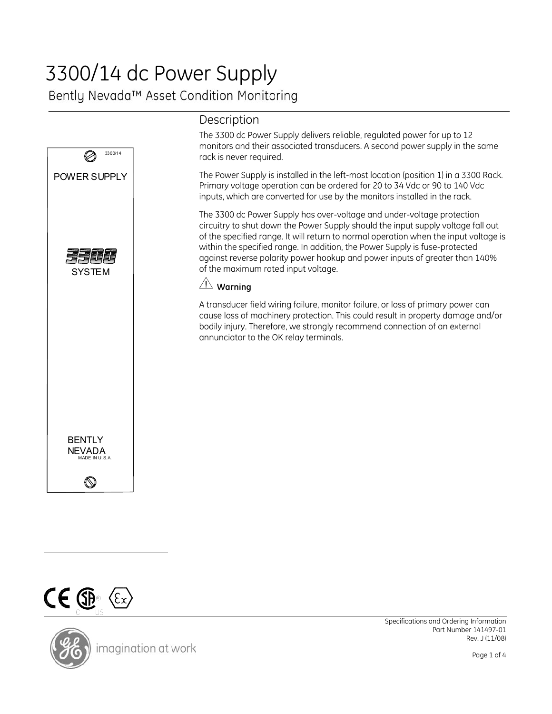# 3300/14 dc Power Supply

Bently Nevada™ Asset Condition Monitoring



## Description

The 3300 dc Power Supply delivers reliable, regulated power for up to 12 monitors and their associated transducers. A second power supply in the same rack is never required.

The Power Supply is installed in the left-most location (position 1) in a 3300 Rack. Primary voltage operation can be ordered for 20 to 34 Vdc or 90 to 140 Vdc inputs, which are converted for use by the monitors installed in the rack.

The 3300 dc Power Supply has over-voltage and under-voltage protection circuitry to shut down the Power Supply should the input supply voltage fall out of the specified range. It will return to normal operation when the input voltage is within the specified range. In addition, the Power Supply is fuse-protected against reverse polarity power hookup and power inputs of greater than 140% of the maximum rated input voltage.

## **Warning**

A transducer field wiring failure, monitor failure, or loss of primary power can cause loss of machinery protection. This could result in property damage and/or bodily injury. Therefore, we strongly recommend connection of an external annunciator to the OK relay terminals.



imagination at work

Specifications and Ordering Information Part Number 141497-01 Rev. J (11/08)

Page 1 of 4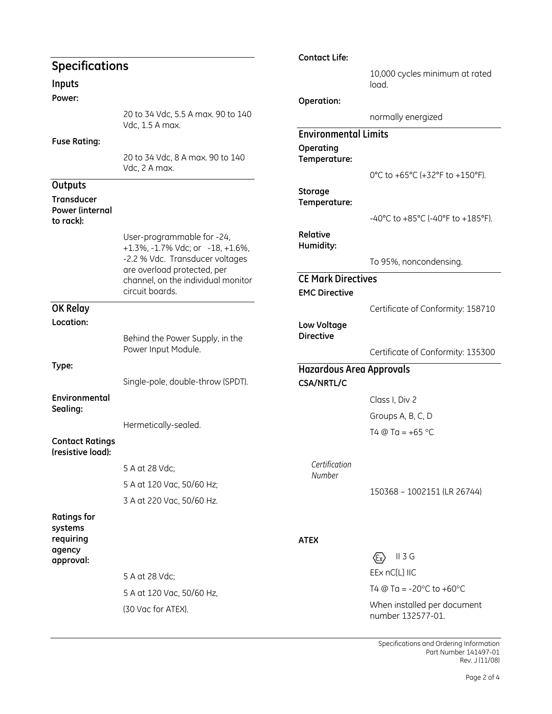|                                             |                                                                                                                                          | <b>Contact Life:</b>                                 |                                                  |
|---------------------------------------------|------------------------------------------------------------------------------------------------------------------------------------------|------------------------------------------------------|--------------------------------------------------|
| <b>Specifications</b>                       |                                                                                                                                          |                                                      | 10,000 cycles minimum at rated                   |
| Inputs                                      |                                                                                                                                          |                                                      | load.                                            |
| Power:                                      |                                                                                                                                          | Operation:                                           |                                                  |
|                                             | 20 to 34 Vdc, 5.5 A max. 90 to 140<br>Vdc, 1.5 A max.                                                                                    |                                                      | normally energized                               |
| <b>Fuse Rating:</b>                         |                                                                                                                                          | <b>Environmental Limits</b>                          |                                                  |
|                                             | 20 to 34 Vdc, 8 A max. 90 to 140<br>Vdc, 2 A max.                                                                                        | Operating<br>Temperature:                            | 0°C to +65°C (+32°F to +150°F).                  |
| Outputs                                     |                                                                                                                                          |                                                      |                                                  |
| <b>Transducer</b>                           |                                                                                                                                          | Storage<br>Temperature:                              |                                                  |
| Power (internal<br>to rack):                |                                                                                                                                          |                                                      | -40°C to +85°C (-40°F to +185°F).                |
|                                             | User-programmable for -24,                                                                                                               | Relative                                             |                                                  |
|                                             | +1.3%, -1.7% Vdc; or -18, +1.6%,<br>-2.2 % Vdc. Transducer voltages<br>are overload protected, per<br>channel, on the individual monitor | Humidity:                                            |                                                  |
|                                             |                                                                                                                                          |                                                      | To 95%, noncondensing.                           |
|                                             |                                                                                                                                          | <b>CE Mark Directives</b>                            |                                                  |
|                                             | circuit boards.                                                                                                                          | <b>EMC Directive</b>                                 |                                                  |
| OK Relay                                    |                                                                                                                                          |                                                      | Certificate of Conformity: 158710                |
| Location:                                   |                                                                                                                                          | Low Voltage                                          |                                                  |
|                                             | Behind the Power Supply, in the<br>Power Input Module.                                                                                   | <b>Directive</b>                                     |                                                  |
| Type:                                       |                                                                                                                                          |                                                      | Certificate of Conformity: 135300                |
|                                             | Single-pole, double-throw (SPDT).                                                                                                        | <b>Hazardous Area Approvals</b><br><b>CSA/NRTL/C</b> |                                                  |
| Environmental                               |                                                                                                                                          |                                                      | Class I, Div 2                                   |
| Sealing:                                    |                                                                                                                                          |                                                      |                                                  |
|                                             | Hermetically-sealed.                                                                                                                     |                                                      | Groups A, B, C, D                                |
| <b>Contact Ratings</b><br>(resistive load): |                                                                                                                                          |                                                      | T4 @ Ta = $+65$ °C                               |
|                                             | 5 A at 28 Vdc;                                                                                                                           | Certification                                        |                                                  |
|                                             | 5 A at 120 Vac, 50/60 Hz;                                                                                                                | Number                                               |                                                  |
|                                             | 3 A at 220 Vac, 50/60 Hz.                                                                                                                |                                                      | 150368 - 1002151 (LR 26744)                      |
| <b>Ratings for</b><br>systems               |                                                                                                                                          |                                                      |                                                  |
| requiring<br>agency                         |                                                                                                                                          | <b>ATEX</b>                                          |                                                  |
| approval:                                   |                                                                                                                                          |                                                      | $II$ 3 G<br>$\langle \epsilon_{\rm x} \rangle$   |
|                                             | 5 A at 28 Vdc;                                                                                                                           |                                                      | EEx nC[L] IIC                                    |
|                                             | 5 A at 120 Vac, 50/60 Hz,                                                                                                                |                                                      | T4 @ Ta = $-20^{\circ}$ C to $+60^{\circ}$ C     |
|                                             | (30 Vac for ATEX).                                                                                                                       |                                                      | When installed per document<br>number 132577-01. |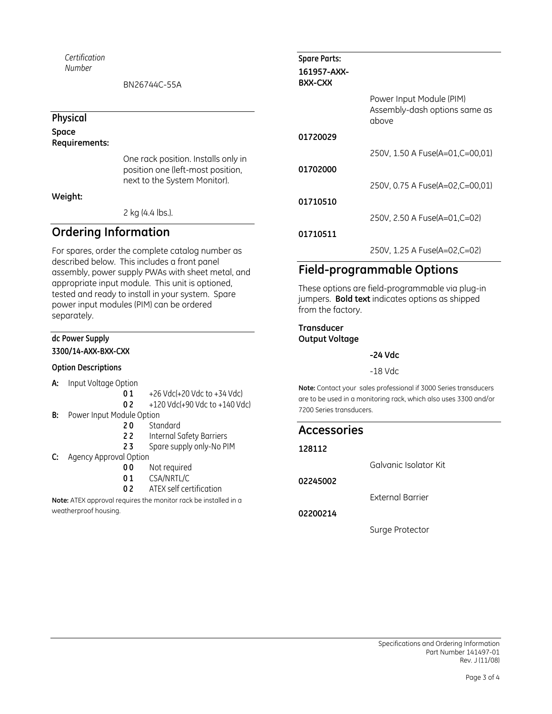*Certification Number* 

BN26744C-55A

#### **Physical**

**Space** 

## **Requirements:**

One rack position. Installs only in position one (left-most position, next to the System Monitor).

**Weight:** 

2 kg (4.4 lbs.).

## **Ordering Information**

For spares, order the complete catalog number as described below. This includes a front panel assembly, power supply PWAs with sheet metal, and appropriate input module. This unit is optioned, tested and ready to install in your system. Spare power input modules (PIM) can be ordered separately.

#### **dc Power Supply**

**3300/14-AXX-BXX-CXX** 

#### **Option Descriptions**

- **A:** Input Voltage Option
	- **0 1** +26 Vdc(+20 Vdc to +34 Vdc)

**0 2** +120 Vdc(+90 Vdc to +140 Vdc)

- **B:** Power Input Module Option
	- **2 0** Standard
	- **2 2 2 2 2 1** Internal Safety Barriers<br>**2 3** 2 Spare supply only-No Pl
	- **2 3** Spare supply only-No PIM
- **C:** Agency Approval Option
	- **0 0** Not required
	- **0 1** CSA/NRTL/C
	- **0 2** ATEX self certification

**Note:** ATEX approval requires the monitor rack be installed in a weatherproof housing.

| <b>Spare Parts:</b>           |                                                                    |
|-------------------------------|--------------------------------------------------------------------|
| 161957-AXX-<br><b>BXX-CXX</b> |                                                                    |
|                               | Power Input Module (PIM)<br>Assembly-dash options same as<br>above |
| 01720029                      |                                                                    |
|                               | 250V, 1.50 A Fuse(A=01,C=00,01)                                    |
| 01702000                      |                                                                    |
|                               | 250V, 0.75 A Fuse(A=02,C=00,01)                                    |
| 01710510                      |                                                                    |
|                               | 250V, 2.50 A Fuse(A=01,C=02)                                       |
| 01710511                      |                                                                    |
|                               | 250V, 1.25 A Fuse(A=02,C=02)                                       |

## **Field-programmable Options**

These options are field-programmable via plug-in jumpers. **Bold text** indicates options as shipped from the factory.

**Transducer Output Voltage** 

**-24 Vdc** 

-18 Vdc

**Note:** Contact your sales professional if 3000 Series transducers are to be used in a monitoring rack, which also uses 3300 and/or 7200 Series transducers.

| <b>Accessories</b> |                       |
|--------------------|-----------------------|
| 128112             |                       |
|                    | Galvanic Isolator Kit |
| 02245002           |                       |
|                    | External Barrier      |
| 02200214           |                       |
|                    | Surge Protector       |